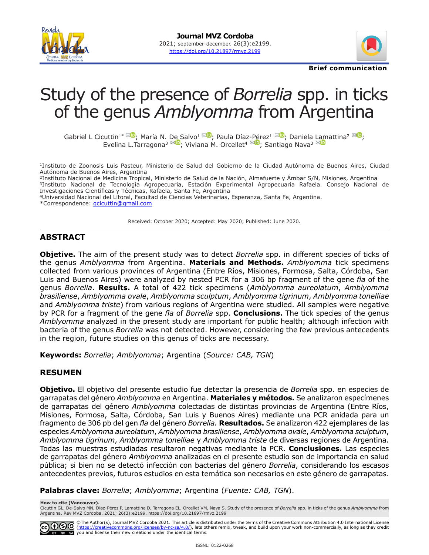



**Brief communication**

# Study of the presence of *Borrelia* spp. in ticks of the genus *Amblyomma* from Argentina

GabrielL Cicuttin<sup>1\* **XD**[;](https://orcid.org/0000-0002-5926-8234) María N. [D](mailto:tarragona_evelina%40inta.gob.ar?subject=)[e S](https://orcid.org/0000-0002-6896-6384)alvo<sup>[1](mailto:mndesalvo%40gmail.com?subject=) **XD**; Paula Día[z-P](mailto:orcellet%40fcv.unl.edu.ar?subject=)[ér](https://orcid.org/0000-0002-9460-7772)ez<sup>1 XD</sup>; Daniela [L](mailto:nava.santiago%40inta.gob.ar?subject=)[am](https://orcid.org/0000-0001-7791-4239)attina<sup>2 XD</sup>;</sup></sup> Evelina L.Tarragona<sup>3 ×</sup><sup>10</sup>; Viviana M. Orcellet<sup>4 ×10</sup>; Santiago Nava<sup>3 ×</sup>1

<sup>1</sup>Instituto de Zoonosis Luis Pasteur, Ministerio de Salud del Gobierno de la Ciudad Autónoma de Buenos Aires, Ciudad Autónoma de Buenos Aires, Argentina

2Instituto Nacional de Medicina Tropical, Ministerio de Salud de la Nación, Almafuerte y Ámbar S/N, Misiones, Argentina 3Instituto Nacional de Tecnología Agropecuaria, Estación Experimental Agropecuaria Rafaela. Consejo Nacional de Investigaciones Científicas y Técnicas, Rafaela, Santa Fe, Argentina

<sup>4</sup>Universidad Nacional del Litoral, Facultad de Ciencias Veterinarias, Esperanza, Santa Fe, Argentina.

\*Correspondence: [gcicuttin@gmail.com](mailto:gcicuttin@gmail.com)

Received: October 2020; Accepted: May 2020; Published: June 2020.

## **ABSTRACT**

**Objetive.** The aim of the present study was to detect *Borrelia* spp. in different species of ticks of the genus *Amblyomma* from Argentina. **Materials and Methods.** *Amblyomma* tick specimens collected from various provinces of Argentina (Entre Ríos, Misiones, Formosa, Salta, Córdoba, San Luis and Buenos Aires) were analyzed by nested PCR for a 306 bp fragment of the gene *fla* of the genus *Borrelia*. **Results.** A total of 422 tick specimens (*Amblyomma aureolatum*, *Amblyomma brasiliense*, *Amblyomma ovale*, *Amblyomma sculptum*, *Amblyomma tigrinum*, *Amblyomma tonelliae* and *Amblyomma triste*) from various regions of Argentina were studied. All samples were negative by PCR for a fragment of the gene *fla* of *Borrelia* spp. **Conclusions.** The tick species of the genus *Amblyomma* analyzed in the present study are important for public health; although infection with bacteria of the genus *Borrelia* was not detected. However, considering the few previous antecedents in the region, future studies on this genus of ticks are necessary.

**Keywords:** *Borrelia*; *Amblyomma*; Argentina (*Source: CAB, TGN*)

#### **RESUMEN**

**Objetivo.** El objetivo del presente estudio fue detectar la presencia de *Borrelia* spp. en especies de garrapatas del género *Amblyomma* en Argentina. **Materiales y métodos.** Se analizaron especímenes de garrapatas del género *Amblyomma* colectadas de distintas provincias de Argentina (Entre Ríos, Misiones, Formosa, Salta, Córdoba, San Luis y Buenos Aires) mediante una PCR anidada para un fragmento de 306 pb del gen *fla* del género *Borrelia.* **Resultados.** Se analizaron 422 ejemplares de las especies *Amblyomma aureolatum*, *Amblyomma brasiliense*, *Amblyomma ovale*, *Amblyomma sculptum*, *Amblyomma tigrinum*, *Amblyomma tonelliae* y *Amblyomma triste* de diversas regiones de Argentina. Todas las muestras estudiadas resultaron negativas mediante la PCR. **Conclusiones.** Las especies de garrapatas del género *Amblyomma* analizadas en el presente estudio son de importancia en salud pública; si bien no se detectó infección con bacterias del género *Borrelia*, considerando los escasos antecedentes previos, futuros estudios en esta temática son necesarios en este género de garrapatas.

**Palabras clave:** *Borrelia*; *Amblyomma*; Argentina (*Fuente: CAB, TGN*).

**How to cite (Vancouver).**

Cicuttin GL, De-Salvo MN, Díaz-Pérez P, Lamattina D, Tarragona EL, Orcellet VM, Nava S. Study of the presence of *Borrelia* spp. in ticks of the genus *Amblyomma* from<br>Argentina. Rev MVZ Cordoba. 2021; 26(3):e2199. https:/

©The Author(s), Journal MVZ Cordoba 2021. This article is distributed under the terms of the Creative Commons Attribution 4.0 International License<br>(<u><https://creativecommons.org/licenses/by-nc-sa/4.0/></u>), lets others remix, BY NC SA you and license their new creations under the identical terms.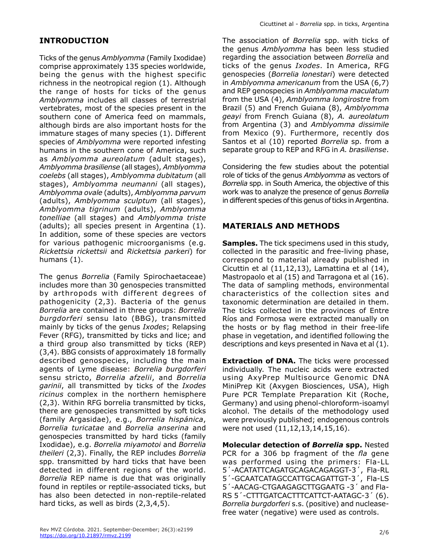# **INTRODUCTION**

Ticks of the genus *Amblyomma* (Family Ixodidae) comprise approximately 135 species worldwide, being the genus with the highest specific richness in the neotropical region (1). Although the range of hosts for ticks of the genus *Amblyomma* includes all classes of terrestrial vertebrates, most of the species present in the southern cone of America feed on mammals, although birds are also important hosts for the immature stages of many species (1). Different species of *Amblyomma* were reported infesting humans in the southern cone of America, such as *Amblyomma aureolatum* (adult stages), *Amblyomma brasiliense* (all stages), *Amblyomma coelebs* (all stages), *Amblyomma dubitatum* (all stages), *Amblyomma neumanni* (all stages), *Amblyomma ovale* (adults), *Amblyomma parvum* (adults), *Amblyomma sculptum* (all stages), *Amblyomma tigrinum* (adults), *Amblyomma tonelliae* (all stages) and *Amblyomma triste* (adults); all species present in Argentina (1). In addition, some of these species are vectors for various pathogenic microorganisms (e.g. *Rickettsia rickettsii* and *Rickettsia parkeri*) for humans (1).

The genus *Borrelia* (Family Spirochaetaceae) includes more than 30 genospecies transmitted by arthropods with different degrees of pathogenicity (2,3). Bacteria of the genus *Borrelia* are contained in three groups: *Borrelia burgdorferi* sensu lato (BBG), transmitted mainly by ticks of the genus *Ixodes*; Relapsing Fever (RFG), transmitted by ticks and lice; and a third group also transmitted by ticks (REP) (3,4). BBG consists of approximately 18 formally described genospecies, including the main agents of Lyme disease: *Borrelia burgdorferi* sensu stricto, *Borrelia afzelii*, and *Borrelia garinii*, all transmitted by ticks of the *Ixodes ricinus* complex in the northern hemisphere (2,3). Within RFG borrelia transmitted by ticks, there are genospecies transmitted by soft ticks (family Argasidae), e.g., *Borrelia hispánica*, *Borrelia turicatae* and *Borrelia anserina* and genospecies transmitted by hard ticks (family Ixodidae), e.g. *Borrelia miyamotoi* and *Borrelia theileri* (2,3). Finally, the REP includes *Borrelia* spp. transmitted by hard ticks that have been detected in different regions of the world. *Borrelia* REP name is due that was originally found in reptiles or reptile-associated ticks, but has also been detected in non-reptile-related hard ticks, as well as birds (2,3,4,5).

The association of *Borrelia* spp. with ticks of the genus *Amblyomma* has been less studied regarding the association between *Borrelia* and ticks of the genus *Ixodes*. In America, RFG genospecies (*Borrelia lonestari*) were detected in *Amblyomma americanum* from the USA (6,7) and REP genospecies in *Amblyomma maculatum* from the USA (4), *Amblyomma longirostre* from Brazil (5) and French Guiana (8), *Amblyomma geayi* from French Guiana (8), *A. aureolatum* from Argentina (3) and *Amblyomma dissimile* from Mexico (9). Furthermore, recently dos Santos et al (10) reported *Borrelia* sp. from a separate group to REP and RFG in *A. brasiliense*.

Considering the few studies about the potential role of ticks of the genus *Amblyomma* as vectors of *Borrelia* spp. in South America, the objective of this work was to analyze the presence of genus *Borrelia* in different species of this genus of ticks in Argentina.

# **MATERIALS AND METHODS**

**Samples.** The tick specimens used in this study, collected in the parasitic and free-living phase, correspond to material already published in Cicuttin et al (11,12,13), Lamattina et al (14), Mastropaolo et al (15) and Tarragona et al (16). The data of sampling methods, environmental characteristics of the collection sites and taxonomic determination are detailed in them. The ticks collected in the provinces of Entre Ríos and Formosa were extracted manually on the hosts or by flag method in their free-life phase in vegetation, and identified following the descriptions and keys presented in Nava et al (1).

**Extraction of DNA.** The ticks were processed individually. The nucleic acids were extracted using AxyPrep Multisource Genomic DNA MiniPrep Kit (Axygen Biosciences, USA), High Pure PCR Template Preparation Kit (Roche, Germany) and using phenol-chloroform-isoamyl alcohol. The details of the methodology used were previously published; endogenous controls were not used (11,12,13,14,15,16).

**Molecular detection of** *Borrelia* **spp.** Nested PCR for a 306 bp fragment of the *fla* gene was performed using the primers: Fla-LL 5´-ACATATTCAGATGCAGACAGAGGT-3´, Fla-RL 5´-GCAATCATAGCCATTGCAGATTGT-3´, Fla-LS 5´-AACAG-CTGAAGAGCTTGGAATG -3´ and Fla-RS 5´-CTTTGATCACTTTCATTCT-AATAGC-3´ (6). *Borrelia burgdorferi* s.s. (positive) and nucleasefree water (negative) were used as controls.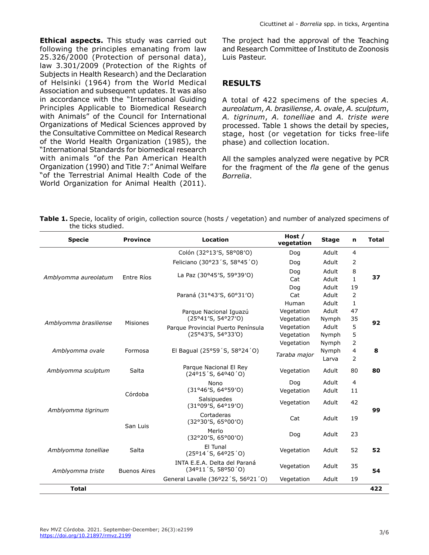**Ethical aspects.** This study was carried out following the principles emanating from law 25.326/2000 (Protection of personal data), law 3.301/2009 (Protection of the Rights of Subjects in Health Research) and the Declaration of Helsinki (1964) from the World Medical Association and subsequent updates. It was also in accordance with the "International Guiding Principles Applicable to Biomedical Research with Animals" of the Council for International Organizations of Medical Sciences approved by the Consultative Committee on Medical Research of the World Health Organization (1985), the "International Standards for biomedical research with animals "of the Pan American Health Organization (1990) and Title 7:" Animal Welfare "of the Terrestrial Animal Health Code of the World Organization for Animal Health (2011).

The project had the approval of the Teaching and Research Committee of Instituto de Zoonosis Luis Pasteur.

#### **RESULTS**

A total of 422 specimens of the species *A. aureolatum*, *A. brasiliense*, *A. ovale*, *A. sculptum*, *A. tigrinum*, *A. tonelliae* and *A. triste were* processed. Table 1 shows the detail by species, stage, host (or vegetation for ticks free-life phase) and collection location.

All the samples analyzed were negative by PCR for the fragment of the *fla* gene of the genus *Borrelia*.

**Table 1.** Specie, locality of origin, collection source (hosts / vegetation) and number of analyzed specimens of the ticks studied.

| <b>Specie</b>         | <b>Province</b>     | <b>Location</b>                                                              | Host /<br>vegetation | <b>Stage</b> | n              | <b>Total</b> |
|-----------------------|---------------------|------------------------------------------------------------------------------|----------------------|--------------|----------------|--------------|
| Amblyomma aureolatum  | Entre Ríos          | Colón (32°13'S, 58°08'O)                                                     | Dog                  | Adult        | 4              | 37           |
|                       |                     | Feliciano (30°23'S, 58°45'O)                                                 | Dog                  | Adult        | 2              |              |
|                       |                     | La Paz (30°45'S, 59°39'O)                                                    | Dog                  | Adult        | 8              |              |
|                       |                     |                                                                              | Cat                  | Adult        | $\mathbf{1}$   |              |
|                       |                     | Paraná (31°43'S, 60°31'O)                                                    | Dog                  | Adult        | 19             |              |
|                       |                     |                                                                              | Cat                  | Adult        | 2              |              |
|                       |                     |                                                                              | Human                | Adult        | $\mathbf{1}$   |              |
| Amblyomma brasiliense | <b>Misiones</b>     | Parque Nacional Iguazú<br>(25°41′S, 54°27′O)                                 | Vegetation           | Adult        | 47             | 92           |
|                       |                     |                                                                              | Vegetation           | Nymph        | 35             |              |
|                       |                     | Parque Provincial Puerto Península<br>(25°43'S, 54°33'O)                     | Vegetation           | Adult        | 5              |              |
|                       |                     |                                                                              | Vegetation           | Nymph        | 5              |              |
| Amblyomma ovale       | Formosa             | El Bagual (25°59 'S, 58°24 'O)                                               | Vegetation           | Nymph        | 2              | 8            |
|                       |                     |                                                                              | Taraba major         | Nymph        | $\overline{4}$ |              |
|                       |                     |                                                                              |                      | Larva        | 2              |              |
| Amblyomma sculptum    | Salta               | Parque Nacional El Rey<br>$(24^{\circ}15^{\prime}S, 64^{\circ}40^{\prime}O)$ | Vegetation           | Adult        | 80             | 80           |
| Amblyomma tigrinum    | Córdoba             | Nono<br>(31°46'S, 64°59'0)                                                   | Dog                  | Adult        | $\overline{4}$ | 99           |
|                       |                     |                                                                              | Vegetation           | Adult        | 11             |              |
|                       |                     | Salsipuedes<br>(31°09'S, 64°19'O)                                            | Vegetation           | Adult        | 42             |              |
|                       | San Luis            | Cortaderas<br>(32°30'S, 65°00'O)                                             | Cat                  | Adult        | 19             |              |
|                       |                     | Merlo<br>(32°20'S, 65°00'O)                                                  | Dog                  | Adult        | 23             |              |
| Amblyomma tonelliae   | Salta               | El Tunal<br>$(25^{\circ}14^{\prime}S, 64^{\circ}25^{\prime}O)$               | Vegetation           | Adult        | 52             | 52           |
| Amblyomma triste      | <b>Buenos Aires</b> | INTA E.E.A. Delta del Paraná<br>$(34^{\circ}11'$ S, 58°50'O)                 | Vegetation           | Adult        | 35             | 54           |
|                       |                     | General Lavalle (36°22'S, 56°21'O)                                           | Vegetation           | Adult        | 19             |              |
| <b>Total</b>          |                     |                                                                              |                      |              |                | 422          |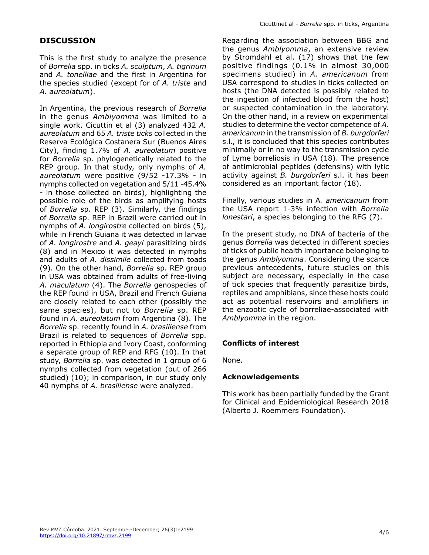# **DISCUSSION**

This is the first study to analyze the presence of *Borrelia* spp. in ticks *A. sculptum*, *A. tigrinum* and *A. tonelliae* and the first in Argentina for the species studied (except for of *A. triste* and *A. aureolatum*).

In Argentina, the previous research of *Borrelia* in the genus *Amblyomma* was limited to a single work. Cicuttin et al (3) analyzed 432 *A. aureolatum* and 65 *A. triste ticks* collected in the Reserva Ecológica Costanera Sur (Buenos Aires City), finding 1.7% of *A. aureolatum* positive for *Borrelia* sp. phylogenetically related to the REP group. In that study, only nymphs of *A. aureolatum* were positive (9/52 -17.3% - in nymphs collected on vegetation and 5/11 -45.4% - in those collected on birds), highlighting the possible role of the birds as amplifying hosts of *Borrelia* sp. REP (3). Similarly, the findings of *Borrelia* sp. REP in Brazil were carried out in nymphs of *A. longirostre* collected on birds (5), while in French Guiana it was detected in larvae of *A. longirostre* and *A. geayi* parasitizing birds (8) and in Mexico it was detected in nymphs and adults of *A. dissimile* collected from toads (9). On the other hand, *Borrelia* sp. REP group in USA was obtained from adults of free-living *A. maculatum* (4). The *Borrelia* genospecies of the REP found in USA, Brazil and French Guiana are closely related to each other (possibly the same species), but not to *Borrelia* sp. REP found in *A. aureolatum* from Argentina (8). The *Borrelia* sp. recently found in *A. brasiliense* from Brazil is related to sequences of *Borrelia* spp. reported in Ethiopia and Ivory Coast, conforming a separate group of REP and RFG (10). In that study, *Borrelia* sp. was detected in 1 group of 6 nymphs collected from vegetation (out of 266 studied) (10); in comparison, in our study only 40 nymphs of *A. brasiliense* were analyzed.

Regarding the association between BBG and the genus *Amblyomma*, an extensive review by Stromdahl et al. (17) shows that the few positive findings (0.1% in almost 30,000 specimens studied) in *A. americanum* from USA correspond to studies in ticks collected on hosts (the DNA detected is possibly related to the ingestion of infected blood from the host) or suspected contamination in the laboratory. On the other hand, in a review on experimental studies to determine the vector competence of *A. americanum* in the transmission of *B. burgdorferi* s.l., it is concluded that this species contributes minimally or in no way to the transmission cycle of Lyme borreliosis in USA (18). The presence of antimicrobial peptides (defensins) with lytic activity against *B. burgdorferi* s.l. it has been considered as an important factor (18).

Finally, various studies in A*. americanum* from the USA report 1-3% infection with *Borrelia lonestari*, a species belonging to the RFG (7).

In the present study, no DNA of bacteria of the genus *Borrelia* was detected in different species of ticks of public health importance belonging to the genus *Amblyomma*. Considering the scarce previous antecedents, future studies on this subject are necessary, especially in the case of tick species that frequently parasitize birds, reptiles and amphibians, since these hosts could act as potential reservoirs and amplifiers in the enzootic cycle of borreliae-associated with *Amblyomma* in the region.

## **Conflicts of interest**

None.

#### **Acknowledgements**

This work has been partially funded by the Grant for Clinical and Epidemiological Research 2018 (Alberto J. Roemmers Foundation).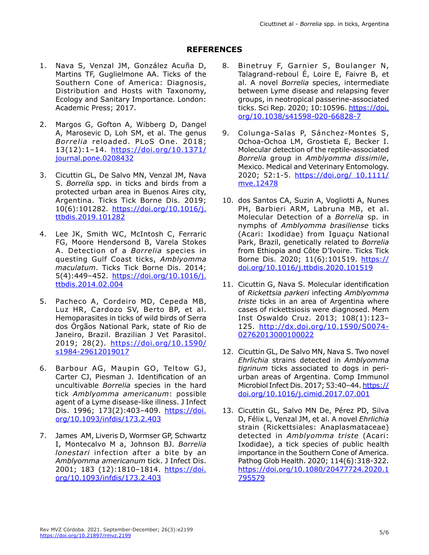# **REFERENCES**

- 1. Nava S, Venzal JM, González Acuña D, Martins TF, Guglielmone AA. Ticks of the Southern Cone of America: Diagnosis, Distribution and Hosts with Taxonomy, Ecology and Sanitary Importance. London: Academic Press; 2017.
- 2. Margos G, Gofton A, Wibberg D, Dangel A, Marosevic D, Loh SM, et al. The genus *Borrelia* reloaded. PLoS One. 2018; 13(12):1–14. [https://doi.org/10.1371/](https://doi.org/10.1371/journal.pone.0208432) [journal.pone.0208432](https://doi.org/10.1371/journal.pone.0208432)
- 3. Cicuttin GL, De Salvo MN, Venzal JM, Nava S. *Borrelia* spp. in ticks and birds from a protected urban area in Buenos Aires city, Argentina. Ticks Tick Borne Dis. 2019; 10(6):101282. [https://doi.org/10.1016/j.](https://doi.org/10.1016/j.ttbdis.2019.101282) [ttbdis.2019.101282](https://doi.org/10.1016/j.ttbdis.2019.101282)
- 4. Lee JK, Smith WC, McIntosh C, Ferraric FG, Moore Hendersond B, Varela Stokes A. Detection of a *Borrelia* species in questing Gulf Coast ticks, *Amblyomma maculatum*. Ticks Tick Borne Dis. 2014; 5(4):449–452. [https://doi.org/10.1016/j.](https://doi.org/10.1016/j.ttbdis.2014.02.004) [ttbdis.2014.02.004](https://doi.org/10.1016/j.ttbdis.2014.02.004)
- 5. Pacheco A, Cordeiro MD, Cepeda MB, Luz HR, Cardozo SV, Berto BP, et al. Hemoparasites in ticks of wild birds of Serra dos Órgãos National Park, state of Rio de Janeiro, Brazil. Brazilian J Vet Parasitol. 2019; 28(2). [https://doi.org/10.1590/](https://doi.org/10.1590/s1984-29612019017) [s1984-29612019017](https://doi.org/10.1590/s1984-29612019017)
- 6. Barbour AG, Maupin GO, Teltow GJ, Carter CJ, Piesman J. Identification of an uncultivable *Borrelia* species in the hard tick *Amblyomma americanum*: possible agent of a Lyme disease-like illness. J Infect Dis. 1996; 173(2):403-409. [https://doi.](https://doi.org/10.1093/infdis/173.2.403) [org/10.1093/infdis/173.2.403](https://doi.org/10.1093/infdis/173.2.403)
- 7. James AM, Liveris D, Wormser GP, Schwartz I, Montecalvo M a, Johnson BJ. *Borrelia lonestari* infection after a bite by an *Amblyomma americanum* tick. J Infect Dis. 2001; 183 (12):1810–1814. [https://doi.](https://doi.org/10.1093/infdis/173.2.403) [org/10.1093/infdis/173.2.403](https://doi.org/10.1093/infdis/173.2.403)
- 8. Binetruy F, Garnier S, Boulanger N, Talagrand-reboul É, Loire E, Faivre B, et al. A novel *Borrelia* species, intermediate between Lyme disease and relapsing fever groups, in neotropical passerine-associated ticks. Sci Rep. 2020; 10:10596. [https://doi.](https://doi.org/10.1038/s41598-020-66828-7) [org/10.1038/s41598-020-66828-7](https://doi.org/10.1038/s41598-020-66828-7)
- 9. Colunga-Salas P, Sánchez-Montes S, Ochoa-Ochoa LM, Grostieta E, Becker I. Molecular detection of the reptile-associated *Borrelia* group in *Amblyomma dissimile*, Mexico. Medical and Veterinary Entomology. 2020; 52:1-5. https://doi.org/ 10.1111/ mve.12478
- 10. dos Santos CA, Suzin A, Vogliotti A, Nunes PH, Barbieri ARM, Labruna MB, et al. Molecular Detection of a *Borrelia* sp. in nymphs of *Amblyomma brasiliense* ticks (Acari: Ixodidae) from Iguaçu National Park, Brazil, genetically related to *Borrelia* from Ethiopia and Côte D'Ivoire. Ticks Tick Borne Dis. 2020; 11(6):101519. [https://](https://doi.org/10.1016/j.ttbdis.2020.101519) [doi.org/10.1016/j.ttbdis.2020.101519](https://doi.org/10.1016/j.ttbdis.2020.101519)
- 11. Cicuttin G, Nava S. Molecular identification of *Rickettsia parkeri* infecting *Amblyomma triste* ticks in an area of Argentina where cases of rickettsiosis were diagnosed. Mem Inst Oswaldo Cruz. 2013; 108(1):123– 125. [http://dx.doi.org/10.1590/S0074-](http://dx.doi.org/10.1590/S0074-02762013000100022) [02762013000100022](http://dx.doi.org/10.1590/S0074-02762013000100022)
- 12. Cicuttin GL, De Salvo MN, Nava S. Two novel *Ehrlichia* strains detected in *Amblyomma tigrinum* ticks associated to dogs in periurban areas of Argentina. Comp Immunol Microbiol Infect Dis. 2017; 53:40-44. [https://](https://doi.org/10.1016/j.cimid.2017.07.001) [doi.org/10.1016/j.cimid.2017.07.001](https://doi.org/10.1016/j.cimid.2017.07.001)
- 13. Cicuttin GL, Salvo MN De, Pérez PD, Silva D, Félix L, Venzal JM, et al. A novel *Ehrlichia* strain (Rickettsiales: Anaplasmataceae) detected in *Amblyomma triste* (Acari: Ixodidae), a tick species of public health importance in the Southern Cone of America. Pathog Glob Health. 2020; 114(6):318-322. [https://doi.org/10.1080/20477724.2020.1](https://doi.org/10.1080/20477724.2020.1795579) [795579](https://doi.org/10.1080/20477724.2020.1795579)